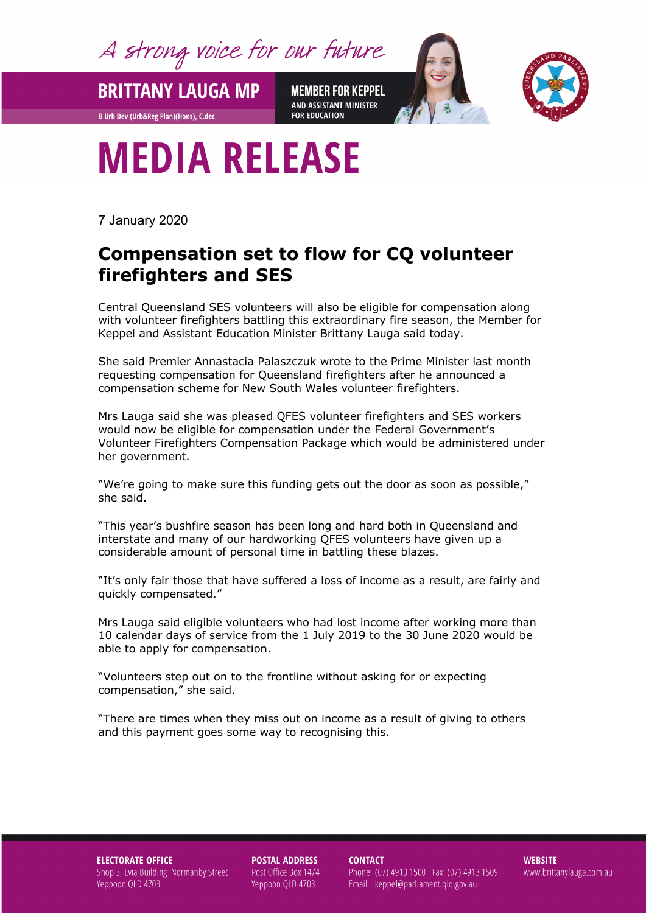A strong voice for our future

**BRITTANY LAUGA MP** 

**B Urb Dev (Urb&Reg Plan)(Hons), C.dec** 

**MEMBER FOR KEPPEL** AND ASSISTANT MINISTER **FOR EDUCATION** 



## **MEDIA RELEASE**

7 January 2020

## **Compensation set to flow for CQ volunteer firefighters and SES**

Central Queensland SES volunteers will also be eligible for compensation along with volunteer firefighters battling this extraordinary fire season, the Member for Keppel and Assistant Education Minister Brittany Lauga said today.

She said Premier Annastacia Palaszczuk wrote to the Prime Minister last month requesting compensation for Queensland firefighters after he announced a compensation scheme for New South Wales volunteer firefighters.

Mrs Lauga said she was pleased QFES volunteer firefighters and SES workers would now be eligible for compensation under the Federal Government's Volunteer Firefighters Compensation Package which would be administered under her government.

"We're going to make sure this funding gets out the door as soon as possible," she said.

"This year's bushfire season has been long and hard both in Queensland and interstate and many of our hardworking QFES volunteers have given up a considerable amount of personal time in battling these blazes.

"It's only fair those that have suffered a loss of income as a result, are fairly and quickly compensated."

Mrs Lauga said eligible volunteers who had lost income after working more than 10 calendar days of service from the 1 July 2019 to the 30 June 2020 would be able to apply for compensation.

"Volunteers step out on to the frontline without asking for or expecting compensation," she said.

"There are times when they miss out on income as a result of giving to others and this payment goes some way to recognising this.

**ELECTORATE OFFICE** Shop 3, Evia Building Normanby Street Yeppoon QLD 4703

**POSTAL ADDRESS** Post Office Box 1474 Yeppoon QLD 4703

**CONTACT** 

Phone: (07) 4913 1500 Fax: (07) 4913 1509 Email: keppel@parliament.qld.gov.au

**WEBSITE** www.brittanylauga.com.au